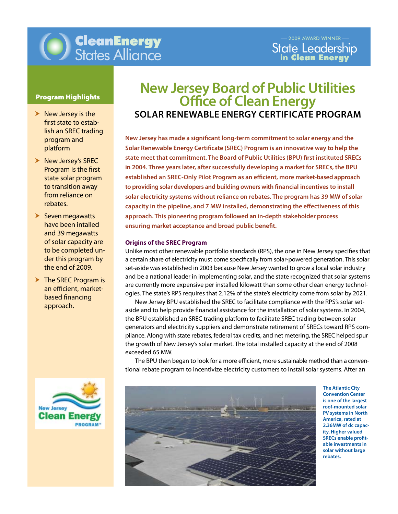

## Program Highlights

- $\blacktriangleright$  New Jersey is the first state to establish an SREC trading program and platform
- $\blacktriangleright$  New Jersey's SREC Program is the first state solar program to transition away from reliance on rebates.
- $\blacktriangleright$  Seven megawatts have been intalled and 39 megawatts of solar capacity are to be completed under this program by the end of 2009.
- $\triangleright$  The SREC Program is an efficient, marketbased financing approach.



# **New Jersey Board of Public Utilities Office of Clean Energy Solar Renewable Energy Certificate Program**

**New Jersey has made a significant long-term commitment to solar energy and the Solar Renewable Energy Certificate (SREC) Program is an innovative way to help the state meet that commitment. The Board of Public Utilities (BPU) first instituted SRECs in 2004. Three years later, after successfully developing a market for SRECs, the BPU established an SREC-Only Pilot Program as an efficient, more market-based approach to providing solar developers and building owners with financial incentives to install solar electricity systems without reliance on rebates. The program has 39 MW of solar capacity in the pipeline, and 7 MW installed, demonstrating the effectiveness of this approach. This pioneering program followed an in-depth stakeholder process ensuring market acceptance and broad public benefit.** 

## **Origins of the SREC Program**

Unlike most other renewable portfolio standards (RPS), the one in New Jersey specifies that a certain share of electricity must come specifically from solar-powered generation. This solar set-aside was established in 2003 because New Jersey wanted to grow a local solar industry and be a national leader in implementing solar, and the state recognized that solar systems are currently more expensive per installed kilowatt than some other clean energy technologies. The state's RPS requires that 2.12% of the state's electricity come from solar by 2021.

 New Jersey BPU established the SREC to facilitate compliance with the RPS's solar setaside and to help provide financial assistance for the installation of solar systems. In 2004, the BPU established an SREC trading platform to facilitate SREC trading between solar generators and electricity suppliers and demonstrate retirement of SRECs toward RPS compliance. Along with state rebates, federal tax credits, and net metering, the SREC helped spur the growth of New Jersey's solar market. The total installed capacity at the end of 2008 exceeded 65 MW.

 The BPU then began to look for a more efficient, more sustainable method than a conventional rebate program to incentivize electricity customers to install solar systems. After an



**The Atlantic City Convention Center is one of the largest roof-mounted solar PV systems in North America, rated at 2.36MW of dc capacity. Higher valued SRECs enable profitable investments in solar without large rebates.**